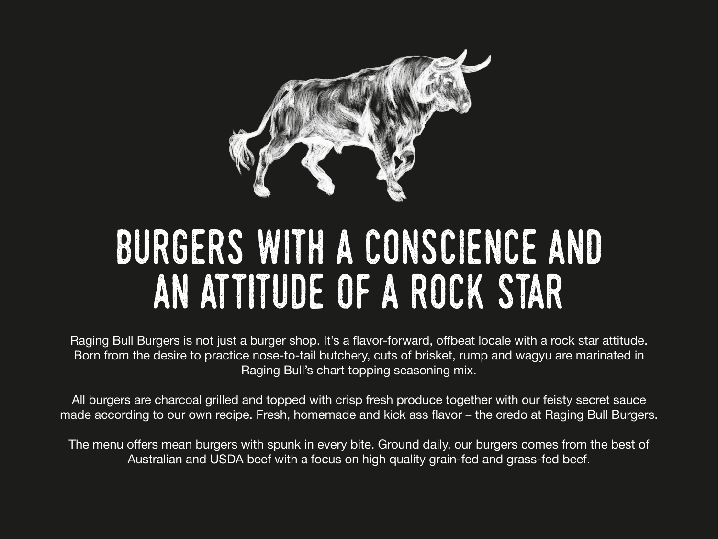Raging Bull Burgers is not just a burger shop. It's a flavor-forward, offbeat locale with a rock star attitude. Born from the desire to practice nose-to-tail butchery, cuts of brisket, rump and wagyu are marinated in Raging Bull's chart topping seasoning mix.

The menu offers mean burgers with spunk in every bite. Ground daily, our burgers comes from the best of Australian and USDA beef with a focus on high quality grain-fed and grass-fed beef.



All burgers are charcoal grilled and topped with crisp fresh produce together with our feisty secret sauce made according to our own recipe. Fresh, homemade and kick ass flavor – the credo at Raging Bull Burgers.



## Burgers with a conscience and an attitude of a rock star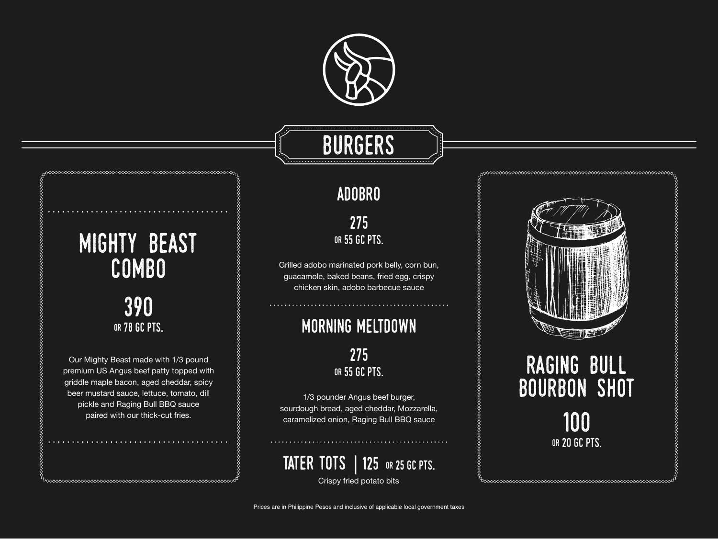



#### morning meltdown

275 or 55 GC pts.

1/3 pounder Angus beef burger, sourdough bread, aged cheddar, Mozzarella, caramelized onion, Raging Bull BBQ sauce

#### TATER TOTS | 125 OR 25 GC PTS.

#### adobro

275 or 55 GC pts.

Grilled adobo marinated pork belly, corn bun, guacamole, baked beans, fried egg, crispy chicken skin, adobo barbecue sauce

### RAGING BULL **BOURBON SHOT** 100 or 20 GC pts.



Crispy fried potato bits

### mighty beast combo

#### 390 or 78 GC pts.

Our Mighty Beast made with 1/3 pound premium US Angus beef patty topped with griddle maple bacon, aged cheddar, spicy beer mustard sauce, lettuce, tomato, dill pickle and Raging Bull BBQ sauce paired with our thick-cut fries.



### **BURGERS**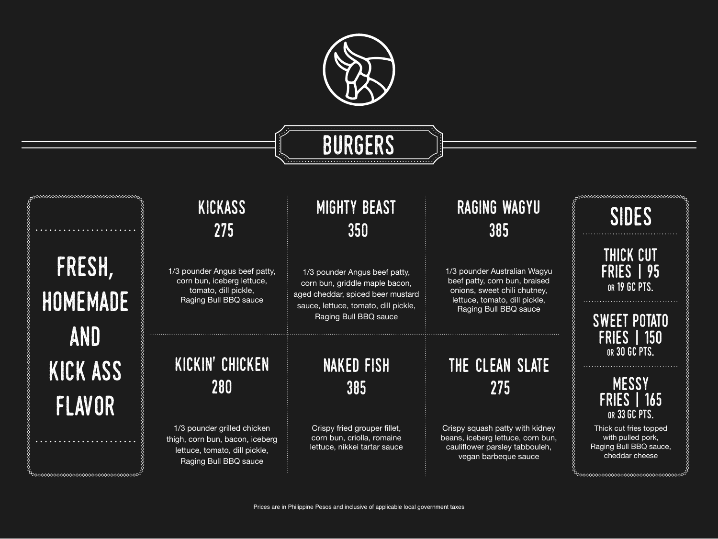#### kickin' chicken 280

1/3 pounder Angus beef patty, corn bun, iceberg lettuce, tomato, dill pickle, Raging Bull BBQ sauce

1/3 pounder grilled chicken thigh, corn bun, bacon, iceberg lettuce, tomato, dill pickle, Raging Bull BBQ sauce



### RGFRS

#### kickass 275

#### THE CLEAN SLATE 275

Crispy squash patty with kidney beans, iceberg lettuce, corn bun, cauliflower parsley tabbouleh, vegan barbeque sauce

1/3 pounder Angus beef patty, corn bun, griddle maple bacon, aged cheddar, spiced beer mustard sauce, lettuce, tomato, dill pickle, Raging Bull BBQ sauce

# FRESH, homemade and kick ass flavor

◇◇◇◇◇◇◇◇◇◇◇◇◇◇◇◇◇◇◇◇◇◇◇◇◇◇◇◇◇◇◇◇◇

#### mighty beast 350

1/3 pounder Australian Wagyu beef patty, corn bun, braised onions, sweet chili chutney, lettuce, tomato, dill pickle, Raging Bull BBQ sauce

#### raging wagyu 385

Crispy fried grouper fillet, corn bun, criolla, romaine lettuce, nikkei tartar sauce

#### naked fish 385

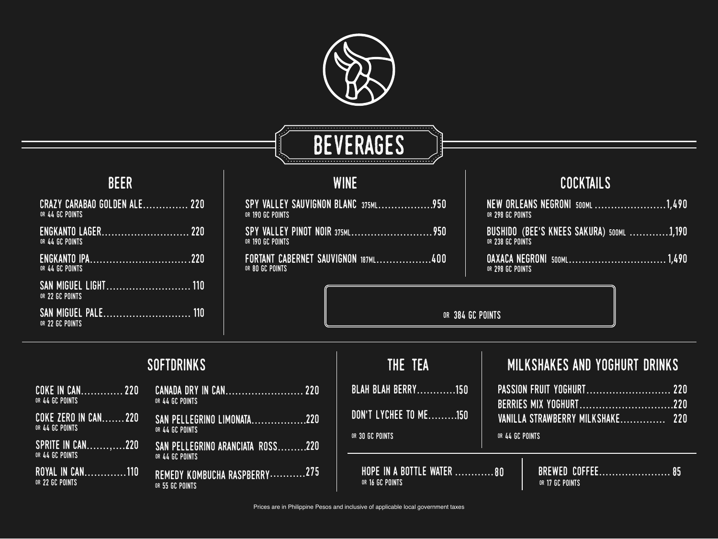

### BEVERAGES



#### beer



#### cocktails

#### SPY VALLEY ... or 190 GC Points

SPY VALLEY OR 190 GC POINTS

or 384 GC Points

FORTANT CA or 80 GC Points

#### softdrinks

| CRAZY CARABAO GOLDEN ALE 220<br>OR 44 GC POINTS |  |
|-------------------------------------------------|--|
| ENGKANTO LAGER 220<br>OR 44 GC POINTS           |  |
| OR 44 GC POINTS                                 |  |
| OR 22 GC POINTS                                 |  |
| OR 22 GC POINTS                                 |  |

OAXACA NEGRONI 500ML. or 298 GC Points

SAN PELLEGRINO LIMONATA.......... or 44 GC Points

SAN PELLEGRINO ARANCIATA ROSS... or 44 GC Points

REMEDY KOMBUCHA RASPBERRY..... or 55 GC Points

| OR 298 GC POINTS | NEW ORLEANS NEGRONI 500ML1,490           |
|------------------|------------------------------------------|
| OR 238 GC POINTS | BUSHIDO (BEE'S KNEES SAKURA) 500ML 1,190 |
|                  | OAXACA NEGRONI 500ML1,490                |



#### : AND YOGHURT DRINKS

| COKE IN CAN 220<br>OR 44 GC POINTS         |  |
|--------------------------------------------|--|
| COKE ZERO IN CAN220<br>OR 44 GC POINTS     |  |
| <b>SPRITE IN CAN220</b><br>OR 44 GC POINTS |  |
| ROYAL IN CAN110<br>OR 22 GC POINTS         |  |

| CANADA DRY IN CAN |  |  |  |  |  |
|-------------------|--|--|--|--|--|
| OR 44 GC POINTS   |  |  |  |  |  |

|                         | THE TEA                                      |                 | MILKSHAKES AI                             |
|-------------------------|----------------------------------------------|-----------------|-------------------------------------------|
| <b>The 220</b>          | BLAH BLAH BERRY150                           |                 | PASSION FRUIT YOGHUF                      |
| $\overline{\ldots 220}$ | DON'T LYCHEE TO ME150                        |                 | BERRIES MIX YOGHURT<br>VANILLA STRAWBERRY |
| 220                     | OR 30 GC POINTS                              | OR 44 GC POINTS |                                           |
| 275                     | HOPE IN A BOTTLE WATER 80<br>OR 16 GC POINTS |                 | <b>BREWED CO</b><br>OR 17 GC POINTS       |

| $\overline{\mathbf{S}}$ | SAUVIGNON BLANC 375ML950  |
|-------------------------|---------------------------|
| $\overline{\mathbf{S}}$ | / PINOT NOIR 375ML950     |
|                         | BERNET SAUVIGNON 187ML400 |

| PASSION FRUIT YOGHURT 220        |  |
|----------------------------------|--|
| BERRIES MIX YOGHURT220           |  |
| VANILLA STRAWBERRY MILKSHAKE 220 |  |

|  | BREWED COFFEE 85 |  |  |  |  |  |  |  |  |
|--|------------------|--|--|--|--|--|--|--|--|
|  | OR 17 GC POINTS  |  |  |  |  |  |  |  |  |